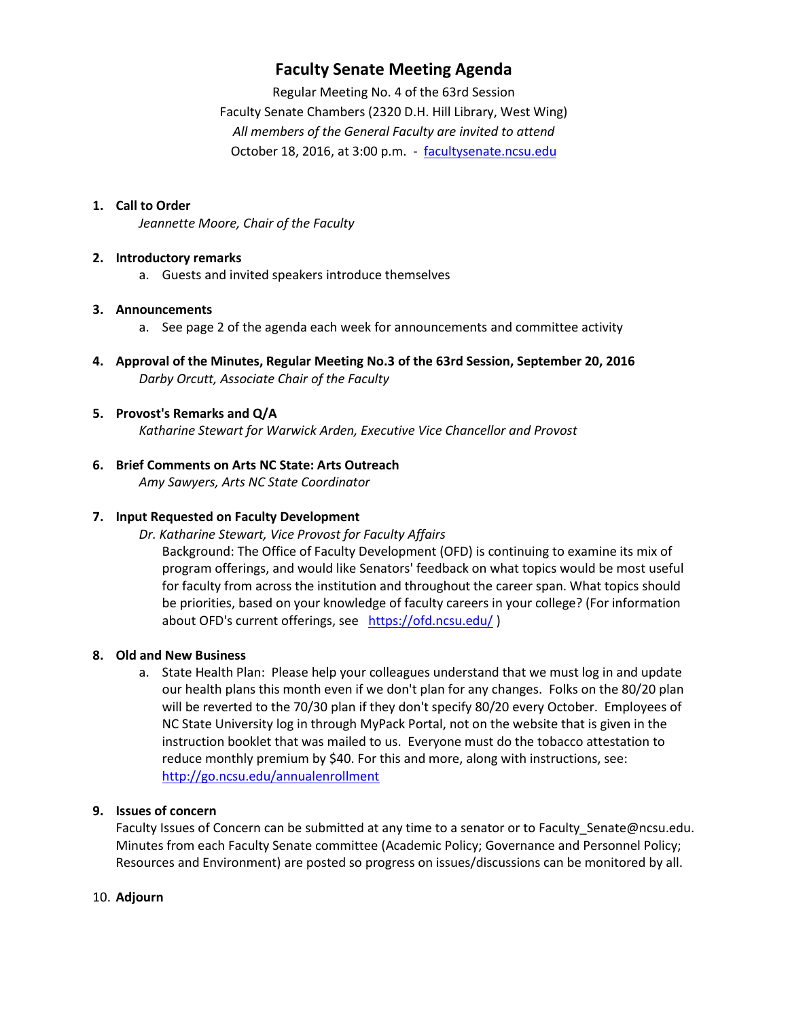# **Faculty Senate Meeting Agenda**

Regular Meeting No. 4 of the 63rd Session Faculty Senate Chambers (2320 D.H. Hill Library, West Wing) *All members of the General Faculty are invited to attend* October 18, 2016, at 3:00 p.m. - [facultysenate.ncsu.edu](https://facultysenate.ncsu.edu/)

#### **1. Call to Order**

*Jeannette Moore, Chair of the Faculty*

#### **2. Introductory remarks**

a. Guests and invited speakers introduce themselves

#### **3. Announcements**

- a. See page 2 of the agenda each week for announcements and committee activity
- **4. Approval of the Minutes, Regular Meeting No.3 of the 63rd Session, September 20, 2016** *Darby Orcutt, Associate Chair of the Faculty*

#### **5. Provost's Remarks and Q/A**

*Katharine Stewart for Warwick Arden, Executive Vice Chancellor and Provost*

# **6. Brief Comments on Arts NC State: Arts Outreach**

*Amy Sawyers, Arts NC State Coordinator*

# **7. Input Requested on Faculty Development**

# *Dr. Katharine Stewart, Vice Provost for Faculty Affairs*

Background: The Office of Faculty Development (OFD) is continuing to examine its mix of program offerings, and would like Senators' feedback on what topics would be most useful for faculty from across the institution and throughout the career span. What topics should be priorities, based on your knowledge of faculty careers in your college? (For information about OFD's current offerings, see <https://ofd.ncsu.edu/>)

# **8. Old and New Business**

a. State Health Plan: Please help your colleagues understand that we must log in and update our health plans this month even if we don't plan for any changes. Folks on the 80/20 plan will be reverted to the 70/30 plan if they don't specify 80/20 every October. Employees of NC State University log in through MyPack Portal, not on the website that is given in the instruction booklet that was mailed to us. Everyone must do the tobacco attestation to reduce monthly premium by \$40. For this and more, along with instructions, see: <http://go.ncsu.edu/annualenrollment>

# **9. Issues of concern**

Faculty Issues of Concern can be submitted at any time to a senator or to Faculty\_Senate@ncsu.edu. Minutes from each Faculty Senate committee (Academic Policy; Governance and Personnel Policy; Resources and Environment) are posted so progress on issues/discussions can be monitored by all.

#### 10. **Adjourn**